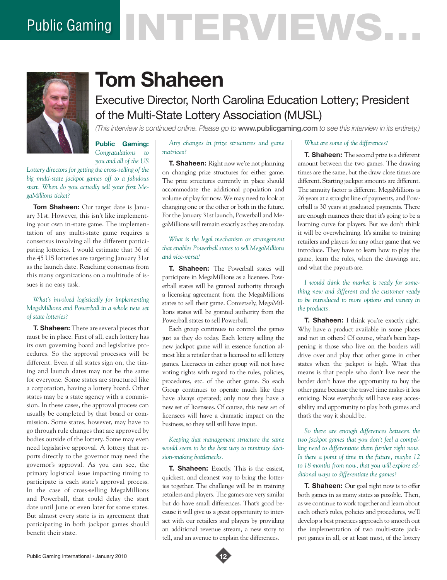# Public Gaming NTERVENS.



# **Tom Shaheen**

## Executive Director, North Carolina Education Lottery; President of the Multi-State Lottery Association (MUSL)

*(This interview is continued online. Please go to* www.publicgaming.com *to see this interview in its entirety.)*

**Public Gaming:**  *Congratulations to you and all of the US* 

*Lottery directors for getting the cross-selling of the big multi-state jackpot games off to a fabulous start. When do you actually sell your first MegaMillions ticket?*

**Tom Shaheen:** Our target date is January 31st. However, this isn't like implementing your own in-state game. The implementation of any multi-state game requires a consensus involving all the different participating lotteries. I would estimate that 36 of the 45 US lotteries are targeting January 31st as the launch date. Reaching consensus from this many organizations on a multitude of issues is no easy task.

#### *What's involved logistically for implementing MegaMillions and Powerball in a whole new set of state lotteries?*

**T. Shaheen:** There are several pieces that must be in place. First of all, each lottery has its own governing board and legislative procedures. So the approval processes will be different. Even if all states sign on, the timing and launch dates may not be the same for everyone. Some states are structured like a corporation, having a lottery board. Other states may be a state agency with a commission. In these cases, the approval process can usually be completed by that board or commission. Some states, however, may have to go through rule changes that are approved by bodies outside of the lottery. Some may even need legislative approval. A lottery that reports directly to the governor may need the governor's approval. As you can see, the primary logistical issue impacting timing to participate is each state's approval process. In the case of cross-selling MegaMillions and Powerball, that could delay the start date until June or even later for some states. But almost every state is in agreement that participating in both jackpot games should benefit their state.

*Any changes in prize structures and game matrices?* 

### **T. Shaheen:** Right now we're not planning on changing prize structures for either game.

The prize structures currently in place should accommodate the additional population and volume of play for now. We may need to look at changing one or the other or both in the future. For the January 31st launch, Powerball and MegaMillions will remain exactly as they are today.

*What is the legal mechanism or arrangement that enables Powerball states to sell MegaMillions and vice-versa?* 

**T. Shaheen:** The Powerball states will participate in MegaMillions as a licensee. Powerball states will be granted authority through a licensing agreement from the MegaMillions states to sell their game. Conversely, MegaMillions states will be granted authority from the Powerball states to sell Powerball.

Each group continues to control the games just as they do today. Each lottery selling the new jackpot game will in essence function almost like a retailer that is licensed to sell lottery games. Licensees in either group will not have voting rights with regard to the rules, policies, procedures, etc. of the other game. So each Group continues to operate much like they have always operated; only now they have a new set of licensees. Of course, this new set of licensees will have a dramatic impact on the business, so they will still have input.

#### *Keeping that management structure the same would seem to be the best way to minimize decision-making bottlenecks.*

**T. Shaheen:** Exactly. This is the easiest, quickest, and cleanest way to bring the lotteries together. The challenge will be in training retailers and players. The games are very similar but do have small differences. That's good because it will give us a great opportunity to interact with our retailers and players by providing an additional revenue stream, a new story to tell, and an avenue to explain the differences.

#### *What are some of the differences?*

**T. Shaheen:** The second prize is a different amount between the two games. The drawing times are the same, but the draw close times are different. Starting jackpot amounts are different. The annuity factor is different. MegaMillions is 26 years at a straight line of payments, and Powerball is 30 years at graduated payments. There are enough nuances there that it's going to be a learning curve for players. But we don't think it will be overwhelming. It's similar to training retailers and players for any other game that we introduce. They have to learn how to play the game, learn the rules, when the drawings are, and what the payouts are.

*I would think the market is ready for something new and different and the customer ready to be introduced to more options and variety in the products.*

**T. Shaheen:** I think you're exactly right. Why have a product available in some places and not in others? Of course, what's been happening is those who live on the borders will drive over and play that other game in other states when the jackpot is high. What this means is that people who don't live near the border don't have the opportunity to buy the other game because the travel time makes it less enticing. Now everybody will have easy accessibility and opportunity to play both games and that's the way it should be.

*So there are enough differences between the two jackpot games that you don't feel a compelling need to differentiate them further right now. Is there a point of time in the future, maybe 12 to 18 months from now, that you will explore additional ways to differentiate the games?*

**T. Shaheen:** Our goal right now is to offer both games in as many states as possible. Then, as we continue to work together and learn about each other's rules, policies and procedures, we'll develop a best practices approach to smooth out the implementation of two multi-state jackpot games in all, or at least most, of the lottery

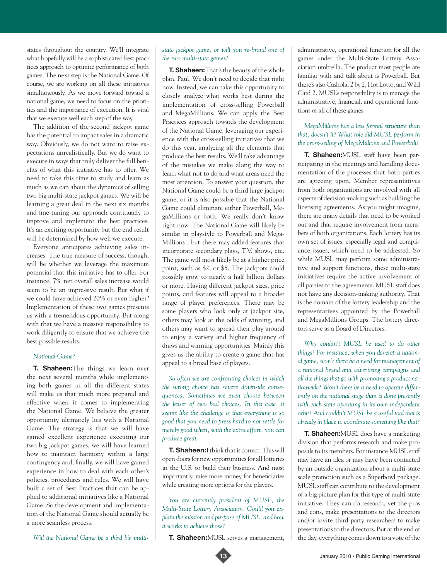states throughout the country. We'll integrate what hopefully will be a sophisticated best practices approach to optimize performance of both games. The next step is the National Game. Of course, we are working on all these initiatives simultaneously. As we move forward toward a national game, we need to focus on the priorities and the importance of execution. It is vital that we execute well each step of the way.

The addition of the second jackpot game has the potential to impact sales in a dramatic way. Obviously, we do not want to raise expectations unrealistically. But we do want to execute in ways that truly deliver the full benefits of what this initiative has to offer. We need to take this time to study and learn as much as we can about the dynamics of selling two big multi-state jackpot games. We will be learning a great deal in the next six months and fine-tuning our approach continually to improve and implement the best practices. It's an exciting opportunity but the end result will be determined by how well we execute.

Everyone anticipates achieving sales increases. The true measure of success, though, will be whether we leverage the maximum potential that this initiative has to offer. For instance, 7% net overall sales increase would seem to be an impressive result. But what if we could have achieved 20% or even higher? Implementation of these two games presents us with a tremendous opportunity. But along with that we have a massive responsibility to work diligently to ensure that we achieve the best possible results.

#### *National Game?*

**T. Shaheen:**The things we learn over the next several months while implementing both games in all the different states will make us that much more prepared and effective when it comes to implementing the National Game. We believe the greater opportunity ultimately lies with a National Game. The strategy is that we will have gained excellent experience executing our two big jackpot games, we will have learned how to maintain harmony within a large contingency and, finally, we will have gained experience in how to deal with each other's policies, procedures and rules. We will have built a set of Best Practices that can be applied to additional initiatives like a National Game. So the development and implementation of the National Game should actually be a more seamless process.

*Will the National Game be a third big multi-*

#### *state jackpot game, or will you re-brand one of the two multi-state games?*

**T. Shaheen:**That's the beauty of the whole plan, Paul. We don't need to decide that right now. Instead, we can take this opportunity to closely analyze what works best during the implementation of cross-selling Powerball and MegaMillions. We can apply the Best Practices approach towards the development of the National Game, leveraging our experience with the cross-selling initiatives that we do this year, analyzing all the elements that produce the best results. We'll take advantage of the mistakes we make along the way to learn what not to do and what areas need the most attention. To answer your question, the National Game could be a third large jackpot game, or it is also possible that the National Game could eliminate either Powerball, MegaMillions or both. We really don't know right now. The National Game will likely be similar in playstyle to Powerball and Mega-Millions , but there may added features that incorporate secondary plays, T.V. shows, etc. The game will most likely be at a higher price point, such as \$2, or \$5. The jackpots could possibly grow to nearly a half billion dollars or more. Having different jackpot sizes, price points, and features will appeal to a broader range of player preferences. There may be some players who look only at jackpot size, others may look at the odds of winning, and others may want to spread their play around to enjoy a variety and higher frequency of draws and winning opportunities. Mainly this gives us the ability to create a game that has appeal to a broad base of players.

*So often we are confronting choices in which the wrong choice has severe downside consequences. Sometimes we even choose between the lesser of two bad choices. In this case, it seems like the challenge is that everything is so good that you need to press hard to not settle for merely good when, with the extra effort, you can produce great.* 

**T. Shaheen:**I think that is correct. This will open doors for new opportunities for all lotteries in the U.S. to build their business. And most importantly, raise more money for beneficiaries while creating more options for the players.

*You are currently president of MUSL, the Multi-State Lottery Association. Could you explain the mission and purpose of MUSL, and how it works to achieve those?*

**T. Shaheen:**MUSL serves a management,



administrative, operational function for all the games under the Multi-State Lottery Association umbrella. The product most people are familiar with and talk about is Powerball. But there's also Cashola, 2 by 2, Hot Lotto, and Wild Card 2. MUSL's responsibility is to manage the administrative, financial, and operational functions of all of these games.

#### *MegaMillions has a less formal structure than that, doesn't it? What role did MUSL perform in the cross-selling of MegaMillions and Powerball?*

**T. Shaheen:**MUSL staff have been participating in the meetings and handling documentation of the processes that both parties are agreeing upon. Member representatives from both organizations are involved with all aspects of decision-making such as building the licensing agreements. As you might imagine, there are many details that need to be worked out and that require involvement from members of both organizations. Each lottery has its own set of issues, especially legal and compliance issues, which need to be addressed. So while MUSL may perform some administrative and support functions, these multi-state initiatives require the active involvement of all parties to the agreements. MUSL staff does not have any decision-making authority. That is the domain of the lottery leadership and the representatives appointed by the Powerball and MegaMillions Groups. The lottery directors serve as a Board of Directors.

*Why couldn't MUSL be used to do other things? For instance, when you develop a national game, won't there be a need for management of a national brand and advertising campaigns and all the things that go with promoting a product nationwide? Won't there be a need to operate differently on the national stage than is done presently with each state operating in its own independent orbit? And couldn't MUSL be a useful tool that is already in place to coordinate something like that?* 

**T. Shaheen:**MUSL does have a marketing division that performs research and make proposals to its members. For instance MUSL staff may have an idea or may have been contacted by an outside organization about a multi-state scale promotion such as a Superbowl package. MUSL staff can contribute to the development of a big picture plan for this type of multi-state initiative. They can do research, vet the pros and cons, make presentations to the directors and/or invite third party researchers to make presentations to the directors. But at the end of the day, everything comes down to a vote of the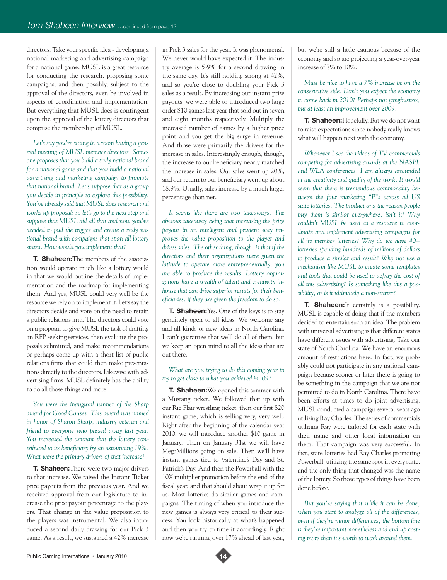directors. Take your specific idea - developing a national marketing and advertising campaign for a national game. MUSL is a great resource for conducting the research, proposing some campaigns, and then possibly, subject to the approval of the directors, even be involved in aspects of coordination and implementation. But everything that MUSL does is contingent upon the approval of the lottery directors that comprise the membership of MUSL.

*Let's say you're sitting in a room having a general meeting of MUSL member directors. Someone proposes that you build a truly national brand for a national game and that you build a national advertising and marketing campaign to promote that national brand. Let's suppose that as a group you decide in principle to explore this possibility. You've already said that MUSL does research and works up proposals so let's go to the next step and suppose that MUSL did all that and now you've decided to pull the trigger and create a truly national brand with campaigns that span all lottery states. How would you implement that?*

**T. Shaheen:**The members of the association would operate much like a lottery would in that we would outline the details of implementation and the roadmap for implementing them. And yes, MUSL could very well be the resource we rely on to implement it. Let's say the directors decide and vote on the need to retain a public relations firm. The directors could vote on a proposal to give MUSL the task of drafting an RFP seeking services, then evaluate the proposals submitted, and make recommendations or perhaps come up with a short list of public relations firms that could then make presentations directly to the directors. Likewise with advertising firms. MUSL definitely has the ability to do all those things and more.

*You were the inaugural winner of the Sharp award for Good Causes. This award was named in honor of Sharon Sharp, industry veteran and friend to everyone who passed away last year. You increased the amount that the lottery contributed to its beneficiary by an astounding 19%. What were the primary drivers of that increase?*

**T. Shaheen:**There were two major drivers to that increase. We raised the Instant Ticket prize payouts from the previous year. And we received approval from our legislature to increase the prize payout percentage to the players. That change in the value proposition to the players was instrumental. We also introduced a second daily drawing for our Pick 3 game. As a result, we sustained a 42% increase in Pick 3 sales for the year. It was phenomenal. We never would have expected it. The industry average is 5-9% for a second drawing in the same day. It's still holding strong at 42%, and so you're close to doubling your Pick 3 sales as a result. By increasing our instant prize payouts, we were able to introduced two large order \$10 games last year that sold out in seven and eight months respectively. Multiply the increased number of games by a higher price point and you get the big surge in revenue. And those were primarily the drivers for the increase in sales. Interestingly enough, though, the increase to our beneficiary nearly matched the increase in sales. Our sales went up 20%, and our return to our beneficiary went up about 18.9%. Usually, sales increase by a much larger percentage than net.

*It seems like there are two takeaways. The obvious takeaway being that increasing the prize payout in an intelligent and prudent way improves the value proposition to the player and drives sales. The other thing, though, is that if the directors and their organizations were given the latitude to operate more entrepreneurially, you are able to produce the results. Lottery organizations have a wealth of talent and creativity inhouse that can drive superior results for their beneficiaries, if they are given the freedom to do so.* 

**T. Shaheen:**Yes. One of the keys is to stay genuinely open to all ideas. We welcome any and all kinds of new ideas in North Carolina. I can't guarantee that we'll do all of them, but we keep an open mind to all the ideas that are out there.

*What are you trying to do this coming year to try to get close to what you achieved in '09?*

**T. Shaheen:**We opened this summer with a Mustang ticket. We followed that up with our Ric Flair wrestling ticket, then our first \$20 instant game, which is selling very, very well. Right after the beginning of the calendar year 2010, we will introduce another \$10 game in January. Then on January 31st we will have MegaMillions going on sale. Then we'll have instant games tied to Valentine's Day and St. Patrick's Day. And then the Powerball with the 10X multiplier promotion before the end of the fiscal year, and that should about wrap it up for us. Most lotteries do similar games and campaigns. The timing of when you introduce the new games is always very critical to their success. You look historically at what's happened and then you try to time it accordingly. Right now we're running over 17% ahead of last year,

but we're still a little cautious because of the economy and so are projecting a year-over-year increase of 7% to 10%.

*Must be nice to have a 7% increase be on the conservative side. Don't you expect the economy to come back in 2010? Perhaps not gangbusters, but at least an improvement over 2009.*

**T. Shaheen:**Hopefully. But we do not want to raise expectations since nobody really knows what will happen next with the economy.

*Whenever I see the videos of TV commercials competing for advertising awards at the NASPL and WLA conferences, I am always astounded at the creativity and quality of the work. It would seem that there is tremendous commonality between the four marketing "P"s across all US state lotteries. The product and the reason people buy them is similar everywhere, isn't it? Why couldn't MUSL be used as a resource to coordinate and implement advertising campaigns for all its member lotteries? Why do we have 40+ lotteries spending hundreds of millions of dollars to produce a similar end result? Why not use a mechanism like MUSL to create some templates and tools that could be used to defray the cost of all this advertising? Is something like this a possibility, or is it ultimately a non-starter?*

**T. Shaheen:**It certainly is a possibility. MUSL is capable of doing that if the members decided to entertain such an idea. The problem with universal advertising is that different states have different issues with advertising. Take our state of North Carolina. We have an enormous amount of restrictions here. In fact, we probably could not participate in any national campaign because sooner or later there is going to be something in the campaign that we are not permitted to do in North Carolina. There have been efforts at times to do joint advertising. MUSL conducted a campaign several years ago utilizing Ray Charles. The series of commercials utilizing Ray were tailored for each state with their name and other local information on them. That campaign was very successful. In fact, state lotteries had Ray Charles promoting Powerball, utilizing the same spot in every state, and the only thing that changed was the name of the lottery. So those types of things have been done before.

*But you're saying that while it can be done, when you start to analyze all of the differences, even if they're minor differences, the bottom line is they're important nonetheless and end up costing more than it's worth to work around them.*